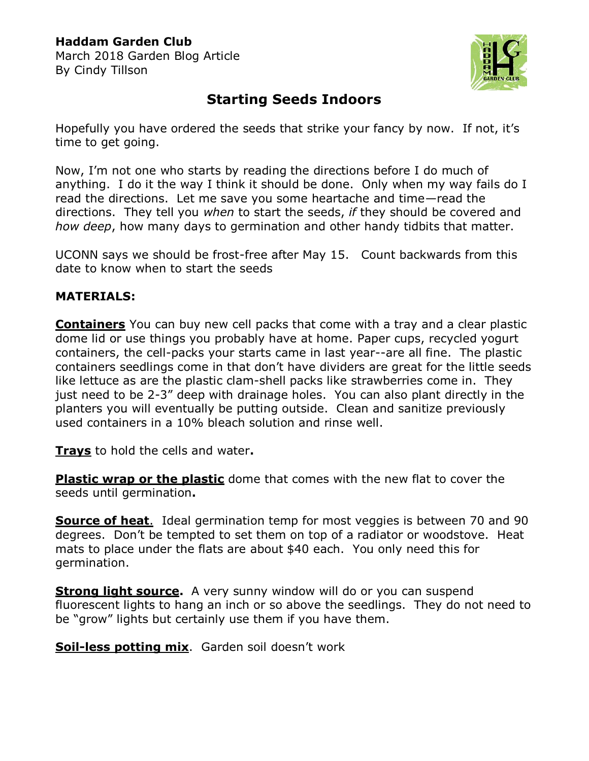## **Haddam Garden Club**

March 2018 Garden Blog Article By Cindy Tillson



## **Starting Seeds Indoors**

Hopefully you have ordered the seeds that strike your fancy by now. If not, it's time to get going.

Now, I'm not one who starts by reading the directions before I do much of anything. I do it the way I think it should be done. Only when my way fails do I read the directions. Let me save you some heartache and time—read the directions. They tell you *when* to start the seeds, *if* they should be covered and *how deep*, how many days to germination and other handy tidbits that matter.

UCONN says we should be frost-free after May 15. Count backwards from this date to know when to start the seeds

## **MATERIALS:**

**Containers** You can buy new cell packs that come with a tray and a clear plastic dome lid or use things you probably have at home. Paper cups, recycled yogurt containers, the cell-packs your starts came in last year--are all fine. The plastic containers seedlings come in that don't have dividers are great for the little seeds like lettuce as are the plastic clam-shell packs like strawberries come in. They just need to be 2-3" deep with drainage holes. You can also plant directly in the planters you will eventually be putting outside. Clean and sanitize previously used containers in a 10% bleach solution and rinse well.

**Trays** to hold the cells and water**.** 

**Plastic wrap or the plastic** dome that comes with the new flat to cover the seeds until germination**.**

**Source of heat**. Ideal germination temp for most veggies is between 70 and 90 degrees. Don't be tempted to set them on top of a radiator or woodstove. Heat mats to place under the flats are about \$40 each. You only need this for germination.

**Strong light source.** A very sunny window will do or you can suspend fluorescent lights to hang an inch or so above the seedlings. They do not need to be "grow" lights but certainly use them if you have them.

**Soil-less potting mix**. Garden soil doesn't work